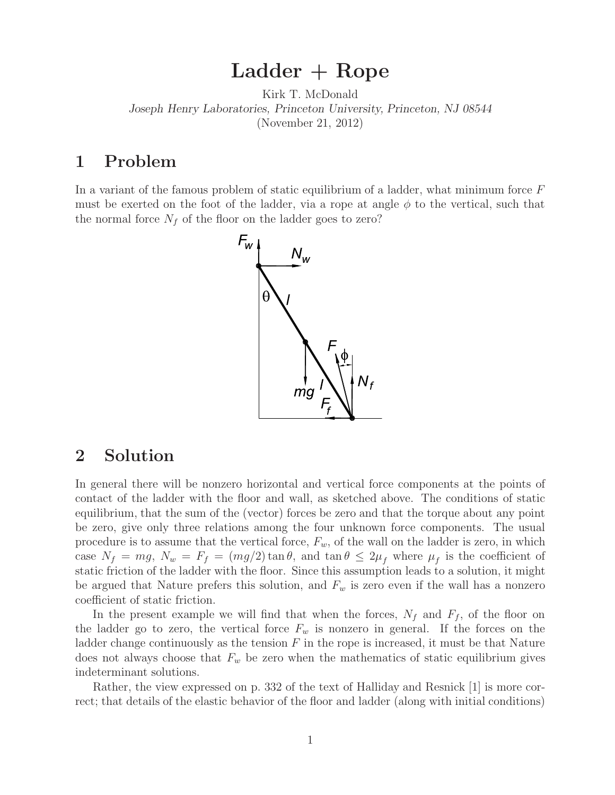## **Ladder + Rope**

Kirk T. McDonald *Joseph Henry Laboratories, Princeton University, Princeton, NJ 08544* (November 21, 2012)

## **1 Problem**

In a variant of the famous problem of static equilibrium of a ladder, what minimum force F must be exerted on the foot of the ladder, via a rope at angle  $\phi$  to the vertical, such that the normal force  $N_f$  of the floor on the ladder goes to zero?



## **2 Solution**

In general there will be nonzero horizontal and vertical force components at the points of contact of the ladder with the floor and wall, as sketched above. The conditions of static equilibrium, that the sum of the (vector) forces be zero and that the torque about any point be zero, give only three relations among the four unknown force components. The usual procedure is to assume that the vertical force, F*<sup>w</sup>*, of the wall on the ladder is zero, in which case  $N_f = mg$ ,  $N_w = F_f = (mg/2) \tan \theta$ , and  $\tan \theta \leq 2\mu_f$  where  $\mu_f$  is the coefficient of static friction of the ladder with the floor. Since this assumption leads to a solution, it might be argued that Nature prefers this solution, and  $F_w$  is zero even if the wall has a nonzero coefficient of static friction.

In the present example we will find that when the forces,  $N_f$  and  $F_f$ , of the floor on the ladder go to zero, the vertical force  $F_w$  is nonzero in general. If the forces on the ladder change continuously as the tension  $F$  in the rope is increased, it must be that Nature does not always choose that  $F_w$  be zero when the mathematics of static equilibrium gives indeterminant solutions.

Rather, the view expressed on p. 332 of the text of Halliday and Resnick [1] is more correct; that details of the elastic behavior of the floor and ladder (along with initial conditions)